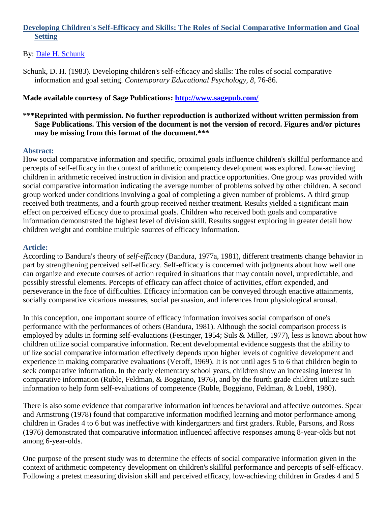# **Developing Children's Self-Efficacy and Skills: The Roles of Social Comparative Information and Goal Setting**

# By: [Dale H. Schunk](http://libres.uncg.edu/ir/uncg/clist.aspx?id=1024)

Schunk, D. H. (1983). Developing children's self-efficacy and skills: The roles of social comparative information and goal setting. *Contemporary Educational Psychology, 8*, 76-86.

# **Made available courtesy of Sage Publications:<http://www.sagepub.com/>**

## **\*\*\*Reprinted with permission. No further reproduction is authorized without written permission from Sage Publications. This version of the document is not the version of record. Figures and/or pictures may be missing from this format of the document.\*\*\***

# **Abstract:**

How social comparative information and specific, proximal goals influence children's skillful performance and percepts of self-efficacy in the context of arithmetic competency development was explored. Low-achieving children in arithmetic received instruction in division and practice opportunities. One group was provided with social comparative information indicating the average number of problems solved by other children. A second group worked under conditions involving a goal of completing a given number of problems. A third group received both treatments, and a fourth group received neither treatment. Results yielded a significant main effect on perceived efficacy due to proximal goals. Children who received both goals and comparative information demonstrated the highest level of division skill. Results suggest exploring in greater detail how children weight and combine multiple sources of efficacy information.

## **Article:**

According to Bandura's theory of *self-efficacy* (Bandura, 1977a, 1981), different treatments change behavior in part by strengthening perceived self-efficacy. Self-efficacy is concerned with judgments about how well one can organize and execute courses of action required in situations that may contain novel, unpredictable, and possibly stressful elements. Percepts of efficacy can affect choice of activities, effort expended, and perseverance in the face of difficulties. Efficacy information can be conveyed through enactive attainments, socially comparative vicarious measures, social persuasion, and inferences from physiological arousal.

In this conception, one important source of efficacy information involves social comparison of one's performance with the performances of others (Bandura, 1981). Although the social comparison process is employed by adults in forming self-evaluations (Festinger, 1954; Suls & Miller, 1977), less is known about how children utilize social comparative information. Recent developmental evidence suggests that the ability to utilize social comparative information effectively depends upon higher levels of cognitive development and experience in making comparative evaluations (Veroff, 1969). It is not until ages 5 to 6 that children begin to seek comparative information. In the early elementary school years, children show an increasing interest in comparative information (Ruble, Feldman, & Boggiano, 1976), and by the fourth grade children utilize such information to help form self-evaluations of competence (Ruble, Boggiano, Feldman, & Loebl, 1980).

There is also some evidence that comparative information influences behavioral and affective outcomes. Spear and Armstrong (1978) found that comparative information modified learning and motor performance among children in Grades 4 to 6 but was ineffective with kindergartners and first graders. Ruble, Parsons, and Ross (1976) demonstrated that comparative information influenced affective responses among 8-year-olds but not among 6-year-olds.

One purpose of the present study was to determine the effects of social comparative information given in the context of arithmetic competency development on children's skillful performance and percepts of self-efficacy. Following a pretest measuring division skill and perceived efficacy, low-achieving children in Grades 4 and 5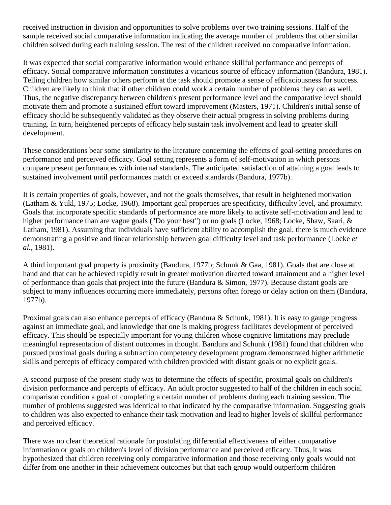received instruction in division and opportunities to solve problems over two training sessions. Half of the sample received social comparative information indicating the average number of problems that other similar children solved during each training session. The rest of the children received no comparative information.

It was expected that social comparative information would enhance skillful performance and percepts of efficacy. Social comparative information constitutes a vicarious source of efficacy information (Bandura, 1981). Telling children how similar others perform at the task should promote a sense of efficaciousness for success. Children are likely to think that if other children could work a certain number of problems they can as well. Thus, the negative discrepancy between children's present performance level and the comparative level should motivate them and promote a sustained effort toward improvement (Masters, 1971). Children's initial sense of efficacy should be subsequently validated as they observe their actual progress in solving problems during training. In turn, heightened percepts of efficacy help sustain task involvement and lead to greater skill development.

These considerations bear some similarity to the literature concerning the effects of goal-setting procedures on performance and perceived efficacy. Goal setting represents a form of self-motivation in which persons compare present performances with internal standards. The anticipated satisfaction of attaining a goal leads to sustained involvement until performances match or exceed standards (Bandura, 1977b).

It is certain properties of goals, however, and not the goals themselves, that result in heightened motivation (Latham & Yukl, 1975; Locke, 1968). Important goal properties are specificity, difficulty level, and proximity. Goals that incorporate specific standards of performance are more likely to activate self-motivation and lead to higher performance than are vague goals ("Do your best") or no goals (Locke, 1968; Locke, Shaw, Saari, & Latham, 1981). Assuming that individuals have sufficient ability to accomplish the goal, there is much evidence demonstrating a positive and linear relationship between goal difficulty level and task performance (Locke *et al.,* 1981).

A third important goal property is proximity (Bandura, 1977b; Schunk & Gaa, 1981). Goals that are close at hand and that can be achieved rapidly result in greater motivation directed toward attainment and a higher level of performance than goals that project into the future (Bandura & Simon, 1977). Because distant goals are subject to many influences occurring more immediately, persons often forego or delay action on them (Bandura, 1977b).

Proximal goals can also enhance percepts of efficacy (Bandura & Schunk, 1981). It is easy to gauge progress against an immediate goal, and knowledge that one is making progress facilitates development of perceived efficacy. This should be especially important for young children whose cognitive limitations may preclude meaningful representation of distant outcomes in thought. Bandura and Schunk (1981) found that children who pursued proximal goals during a subtraction competency development program demonstrated higher arithmetic skills and percepts of efficacy compared with children provided with distant goals or no explicit goals.

A second purpose of the present study was to determine the effects of specific, proximal goals on children's division performance and percepts of efficacy. An adult proctor suggested to half of the children in each social comparison condition a goal of completing a certain number of problems during each training session. The number of problems suggested was identical to that indicated by the comparative information. Suggesting goals to children was also expected to enhance their task motivation and lead to higher levels of skillful performance and perceived efficacy.

There was no clear theoretical rationale for postulating differential effectiveness of either comparative information or goals on children's level of division performance and perceived efficacy. Thus, it was hypothesized that children receiving only comparative information and those receiving only goals would not differ from one another in their achievement outcomes but that each group would outperform children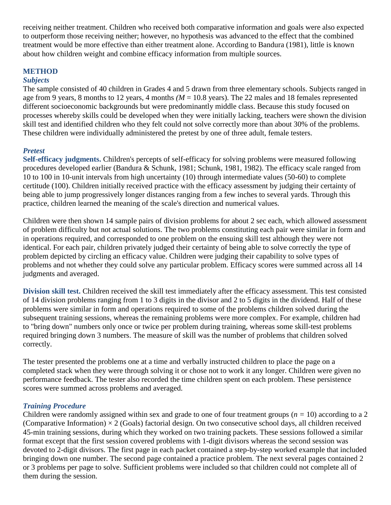receiving neither treatment. Children who received both comparative information and goals were also expected to outperform those receiving neither; however, no hypothesis was advanced to the effect that the combined treatment would be more effective than either treatment alone. According to Bandura (1981), little is known about how children weight and combine efficacy information from multiple sources.

# **METHOD**

#### *Subjects*

The sample consisted of 40 children in Grades 4 and 5 drawn from three elementary schools. Subjects ranged in age from 9 years, 8 months to 12 years, 4 months *(M* = 10.8 years). The 22 males and 18 females represented different socioeconomic backgrounds but were predominantly middle class. Because this study focused on processes whereby skills could be developed when they were initially lacking, teachers were shown the division skill test and identified children who they felt could not solve correctly more than about 30% of the problems. These children were individually administered the pretest by one of three adult, female testers.

## *Pretest*

**Self-efficacy judgments.** Children's percepts of self-efficacy for solving problems were measured following procedures developed earlier (Bandura & Schunk, 1981; Schunk, 1981, 1982). The efficacy scale ranged from 10 to 100 in 10-unit intervals from high uncertainty (10) through intermediate values (50-60) to complete certitude (100). Children initially received practice with the efficacy assessment by judging their certainty of being able to jump progressively longer distances ranging from a few inches to several yards. Through this practice, children learned the meaning of the scale's direction and numerical values.

Children were then shown 14 sample pairs of division problems for about 2 sec each, which allowed assessment of problem difficulty but not actual solutions. The two problems constituting each pair were similar in form and in operations required, and corresponded to one problem on the ensuing skill test although they were not identical. For each pair, children privately judged their certainty of being able to solve correctly the type of problem depicted by circling an efficacy value. Children were judging their capability to solve types of problems and not whether they could solve any particular problem. Efficacy scores were summed across all 14 judgments and averaged.

**Division skill test.** Children received the skill test immediately after the efficacy assessment. This test consisted of 14 division problems ranging from 1 to 3 digits in the divisor and 2 to 5 digits in the dividend. Half of these problems were similar in form and operations required to some of the problems children solved during the subsequent training sessions, whereas the remaining problems were more complex. For example, children had to "bring down" numbers only once or twice per problem during training, whereas some skill-test problems required bringing down 3 numbers. The measure of skill was the number of problems that children solved correctly.

The tester presented the problems one at a time and verbally instructed children to place the page on a completed stack when they were through solving it or chose not to work it any longer. Children were given no performance feedback. The tester also recorded the time children spent on each problem. These persistence scores were summed across problems and averaged.

## *Training Procedure*

Children were randomly assigned within sex and grade to one of four treatment groups (*n =* 10) according to a 2 (Comparative Information)  $\times$  2 (Goals) factorial design. On two consecutive school days, all children received 45-min training sessions, during which they worked on two training packets. These sessions followed a similar format except that the first session covered problems with 1-digit divisors whereas the second session was devoted to 2-digit divisors. The first page in each packet contained a step-by-step worked example that included bringing down one number. The second page contained a practice problem. The next several pages contained 2 or 3 problems per page to solve. Sufficient problems were included so that children could not complete all of them during the session.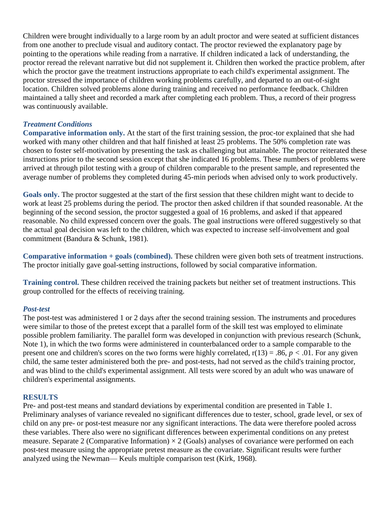Children were brought individually to a large room by an adult proctor and were seated at sufficient distances from one another to preclude visual and auditory contact. The proctor reviewed the explanatory page by pointing to the operations while reading from a narrative. If children indicated a lack of understanding, the proctor reread the relevant narrative but did not supplement it. Children then worked the practice problem, after which the proctor gave the treatment instructions appropriate to each child's experimental assignment. The proctor stressed the importance of children working problems carefully, and departed to an out-of-sight location. Children solved problems alone during training and received no performance feedback. Children maintained a tally sheet and recorded a mark after completing each problem. Thus, a record of their progress was continuously available.

# *Treatment Conditions*

**Comparative information only.** At the start of the first training session, the proc-tor explained that she had worked with many other children and that half finished at least 25 problems. The 50% completion rate was chosen to foster self-motivation by presenting the task as challenging but attainable. The proctor reiterated these instructions prior to the second session except that she indicated 16 problems. These numbers of problems were arrived at through pilot testing with a group of children comparable to the present sample, and represented the average number of problems they completed during 45-min periods when advised only to work productively.

**Goals only.** The proctor suggested at the start of the first session that these children might want to decide to work at least 25 problems during the period. The proctor then asked children if that sounded reasonable. At the beginning of the second session, the proctor suggested a goal of 16 problems, and asked if that appeared reasonable. No child expressed concern over the goals. The goal instructions were offered suggestively so that the actual goal decision was left to the children, which was expected to increase self-involvement and goal commitment (Bandura & Schunk, 1981).

**Comparative information + goals (combined).** These children were given both sets of treatment instructions. The proctor initially gave goal-setting instructions, followed by social comparative information.

**Training control.** These children received the training packets but neither set of treatment instructions. This group controlled for the effects of receiving training.

# *Post-test*

The post-test was administered 1 or 2 days after the second training session. The instruments and procedures were similar to those of the pretest except that a parallel form of the skill test was employed to eliminate possible problem familiarity. The parallel form was developed in conjunction with previous research (Schunk, Note 1), in which the two forms were administered in counterbalanced order to a sample comparable to the present one and children's scores on the two forms were highly correlated,  $r(13) = .86$ ,  $p < .01$ . For any given child, the same tester administered both the pre- and post-tests, had not served as the child's training proctor, and was blind to the child's experimental assignment. All tests were scored by an adult who was unaware of children's experimental assignments.

## **RESULTS**

Pre- and post-test means and standard deviations by experimental condition are presented in Table 1. Preliminary analyses of variance revealed no significant differences due to tester, school, grade level, or sex of child on any pre- or post-test measure nor any significant interactions. The data were therefore pooled across these variables. There also were no significant differences between experimental conditions on any pretest measure. Separate 2 (Comparative Information)  $\times$  2 (Goals) analyses of covariance were performed on each post-test measure using the appropriate pretest measure as the covariate. Significant results were further analyzed using the Newman— Keuls multiple comparison test (Kirk, 1968).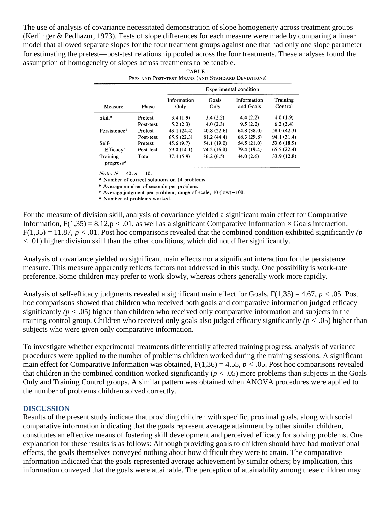The use of analysis of covariance necessitated demonstration of slope homogeneity across treatment groups (Kerlinger & Pedhazur, 1973). Tests of slope differences for each measure were made by comparing a linear model that allowed separate slopes for the four treatment groups against one that had only one slope parameter for estimating the pretest—post-test relationship pooled across the four treatments. These analyses found the assumption of homogeneity of slopes across treatments to be tenable.

| Measure                                        | Phase     | Experimental condition |               |                          |                     |
|------------------------------------------------|-----------|------------------------|---------------|--------------------------|---------------------|
|                                                |           | Information<br>Only    | Goals<br>Only | Information<br>and Goals | Training<br>Control |
| $S$ kill <sup>a</sup>                          | Pretest   | 3.4(1.9)               | 3.4(2.2)      | 4.4(2.2)                 | 4.0(1.9)            |
|                                                | Post-test | 5.2(2.3)               | 4.0(2.3)      | 9.5(2.2)                 | 6.2(3.4)            |
| Persistence <sup>b</sup>                       | Pretest   | 43.1 (24.4)            | 40.8 (22.6)   | 64.8(38.0)               | 58.0 (42.3)         |
|                                                | Post-test | 65.5(22.3)             | 81.2 (44.4)   | 68.3(29.8)               | 94.1 (31.4)         |
| Self-                                          | Pretest   | 45.6 (9.7)             | 54.1 (19.0)   | 54.5 (21.0)              | 53.6 (18.9)         |
| Efficacy <sup>c</sup>                          | Post-test | 59.0 (14.1)            | 74.2 (16.0)   | 79.4 (19.4)              | 65.5(22.4)          |
| Training<br>progress <sup><math>d</math></sup> | Total     | 37.4(5.9)              | 36.2(6.5)     | 44.0(2.6)                | 33.9 (12.8)         |

| ropes across treatments to be tendere.             |  |  |  |  |  |  |  |
|----------------------------------------------------|--|--|--|--|--|--|--|
| TABLE 1                                            |  |  |  |  |  |  |  |
| PRE- AND POST-TEST MEANS (AND STANDARD DEVIATIONS) |  |  |  |  |  |  |  |

*Note*.  $N = 40$ ;  $n = 10$ .

<sup>*a*</sup> Number of correct solutions on 14 problems.

<sup>b</sup> Average number of seconds per problem.

 $\textdegree$  Average judgment per problem; range of scale, 10 (low) – 100.

 $d$  Number of problems worked.

For the measure of division skill, analysis of covariance yielded a significant main effect for Comparative Information,  $F(1,35) = 8.12$ ,  $p < .01$ , as well as a significant Comparative Information  $\times$  Goals interaction,  $F(1,35) = 11.87$ ,  $p < .01$ . Post hoc comparisons revealed that the combined condition exhibited significantly *(p <* .01) higher division skill than the other conditions, which did not differ significantly.

Analysis of covariance yielded no significant main effects nor a significant interaction for the persistence measure. This measure apparently reflects factors not addressed in this study. One possibility is work-rate preference. Some children may prefer to work slowly, whereas others generally work more rapidly.

Analysis of self-efficacy judgments revealed a significant main effect for Goals, F(1,35) = 4.67, *p <* .05. Post hoc comparisons showed that children who received both goals and comparative information judged efficacy significantly  $(p < .05)$  higher than children who received only comparative information and subjects in the training control group. Children who received only goals also judged efficacy significantly *(p <* .05) higher than subjects who were given only comparative information.

To investigate whether experimental treatments differentially affected training progress, analysis of variance procedures were applied to the number of problems children worked during the training sessions. A significant main effect for Comparative Information was obtained,  $F(1,36) = 4.55$ ,  $p < .05$ . Post hoc comparisons revealed that children in the combined condition worked significantly  $(p < .05)$  more problems than subjects in the Goals Only and Training Control groups. A similar pattern was obtained when ANOVA procedures were applied to the number of problems children solved correctly.

## **DISCUSSION**

Results of the present study indicate that providing children with specific, proximal goals, along with social comparative information indicating that the goals represent average attainment by other similar children, constitutes an effective means of fostering skill development and perceived efficacy for solving problems. One explanation for these results is as follows: Although providing goals to children should have had motivational effects, the goals themselves conveyed nothing about how difficult they were to attain. The comparative information indicated that the goals represented average achievement by similar others; by implication, this information conveyed that the goals were attainable. The perception of attainability among these children may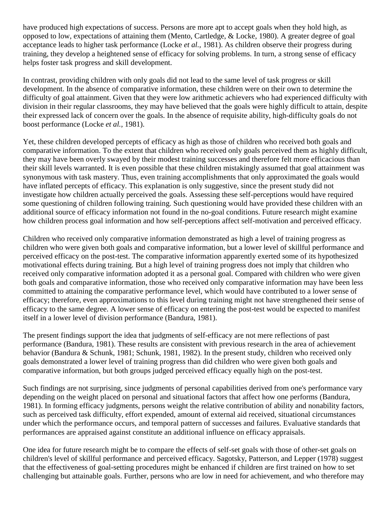have produced high expectations of success. Persons are more apt to accept goals when they hold high, as opposed to low, expectations of attaining them (Mento, Cartledge, & Locke, 1980). A greater degree of goal acceptance leads to higher task performance (Locke *et al.,* 1981). As children observe their progress during training, they develop a heightened sense of efficacy for solving problems. In turn, a strong sense of efficacy helps foster task progress and skill development.

In contrast, providing children with only goals did not lead to the same level of task progress or skill development. In the absence of comparative information, these children were on their own to determine the difficulty of goal attainment. Given that they were low arithmetic achievers who had experienced difficulty with division in their regular classrooms, they may have believed that the goals were highly difficult to attain, despite their expressed lack of concern over the goals. In the absence of requisite ability, high-difficulty goals do not boost performance (Locke *et al.,* 1981).

Yet, these children developed percepts of efficacy as high as those of children who received both goals and comparative information. To the extent that children who received only goals perceived them as highly difficult, they may have been overly swayed by their modest training successes and therefore felt more efficacious than their skill levels warranted. It is even possible that these children mistakingly assumed that goal attainment was synonymous with task mastery. Thus, even training accomplishments that only approximated the goals would have inflated percepts of efficacy. This explanation is only suggestive, since the present study did not investigate how children actually perceived the goals. Assessing these self-perceptions would have required some questioning of children following training. Such questioning would have provided these children with an additional source of efficacy information not found in the no-goal conditions. Future research might examine how children process goal information and how self-perceptions affect self-motivation and perceived efficacy.

Children who received only comparative information demonstrated as high a level of training progress as children who were given both goals and comparative information, but a lower level of skillful performance and perceived efficacy on the post-test. The comparative information apparently exerted some of its hypothesized motivational effects during training. But a high level of training progress does not imply that children who received only comparative information adopted it as a personal goal. Compared with children who were given both goals and comparative information, those who received only comparative information may have been less committed to attaining the comparative performance level, which would have contributed to a lower sense of efficacy; therefore, even approximations to this level during training might not have strengthened their sense of efficacy to the same degree. A lower sense of efficacy on entering the post-test would be expected to manifest itself in a lower level of division performance (Bandura, 1981).

The present findings support the idea that judgments of self-efficacy are not mere reflections of past performance (Bandura, 1981). These results are consistent with previous research in the area of achievement behavior (Bandura & Schunk, 1981; Schunk, 1981, 1982). In the present study, children who received only goals demonstrated a lower level of training progress than did children who were given both goals and comparative information, but both groups judged perceived efficacy equally high on the post-test.

Such findings are not surprising, since judgments of personal capabilities derived from one's performance vary depending on the weight placed on personal and situational factors that affect how one performs (Bandura, 1981). In forming efficacy judgments, persons weight the relative contribution of ability and nonability factors, such as perceived task difficulty, effort expended, amount of external aid received, situational circumstances under which the performance occurs, and temporal pattern of successes and failures. Evaluative standards that performances are appraised against constitute an additional influence on efficacy appraisals.

One idea for future research might be to compare the effects of self-set goals with those of other-set goals on children's level of skillful performance and perceived efficacy. Sagotsky, Patterson, and Lepper (1978) suggest that the effectiveness of goal-setting procedures might be enhanced if children are first trained on how to set challenging but attainable goals. Further, persons who are low in need for achievement, and who therefore may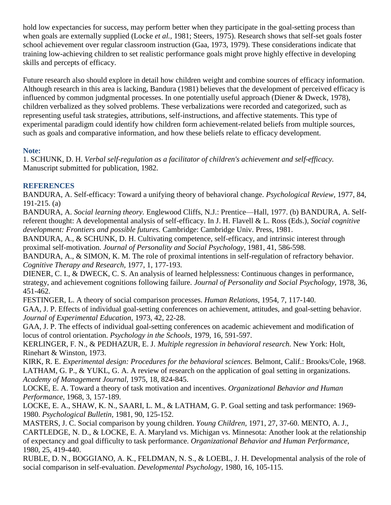hold low expectancies for success, may perform better when they participate in the goal-setting process than when goals are externally supplied (Locke *et al.,* 1981; Steers, 1975). Research shows that self-set goals foster school achievement over regular classroom instruction (Gaa, 1973, 1979). These considerations indicate that training low-achieving children to set realistic performance goals might prove highly effective in developing skills and percepts of efficacy.

Future research also should explore in detail how children weight and combine sources of efficacy information. Although research in this area is lacking, Bandura (1981) believes that the development of perceived efficacy is influenced by common judgmental processes. In one potentially useful approach (Diener & Dweck, 1978), children verbalized as they solved problems. These verbalizations were recorded and categorized, such as representing useful task strategies, attributions, self-instructions, and affective statements. This type of experimental paradigm could identify how children form achievement-related beliefs from multiple sources, such as goals and comparative information, and how these beliefs relate to efficacy development.

# **Note:**

1. SCHUNK, D. H. *Verbal self-regulation as a facilitator of children's achievement and self-efficacy.*  Manuscript submitted for publication, 1982.

# **REFERENCES**

BANDURA, A. Self-efficacy: Toward a unifying theory of behavioral change. *Psychological Review,* 1977, 84, 191-215. (a)

BANDURA, A. *Social learning theory.* Englewood Cliffs, N.J.: Prentice—Hall, 1977. (b) BANDURA, A. Selfreferent thought: A developmental analysis of self-efficacy. In J. H. Flavell & L. Ross (Eds.), *Social cognitive development: Frontiers and possible futures.* Cambridge: Cambridge Univ. Press, 1981.

BANDURA, A., & SCHUNK, D. H. Cultivating competence, self-efficacy, and intrinsic interest through proximal self-motivation. *Journal of Personality and Social Psychology,* 1981, 41, 586-598.

BANDURA, A., & SIMON, K. M. The role of proximal intentions in self-regulation of refractory behavior. *Cognitive Therapy and Research,* 1977, 1, 177-193.

DIENER, C. I., & DWECK, C. S. An analysis of learned helplessness: Continuous changes in performance, strategy, and achievement cognitions following failure. *Journal of Personality and Social Psychology,* 1978, 36, 451-462.

FESTINGER, L. A theory of social comparison processes. *Human Relations,* 1954, 7, 117-140. GAA, J. P. Effects of individual goal-setting conferences on achievement, attitudes, and goal-setting behavior. *Journal of Experimental Education,* 1973, 42, 22-28.

GAA, J. P. The effects of individual goal-setting conferences on academic achievement and modification of locus of control orientation. *Psychology in the Schools,* 1979, 16, 591-597.

KERLINGER, F. N., & PEDHAZUR, E. J. *Multiple regression in behavioral research.* New York: Holt, Rinehart & Winston, 1973.

KIRK, R. E. *Experimental design: Procedures for the behavioral sciences.* Belmont, Calif.: Brooks/Cole, 1968. LATHAM, G. P., & YUKL, G. A. A review of research on the application of goal setting in organizations. *Academy of Management Journal,* 1975, 18, 824-845.

LOCKE, E. A. Toward a theory of task motivation and incentives. *Organizational Behavior and Human Performance,* 1968, 3, 157-189.

LOCKE, E. A., SHAW, K. N., SAARI, L. M., & LATHAM, G. P. Goal setting and task performance: 1969- 1980. *Psychological Bulletin,* 1981, 90, 125-152.

MASTERS, J. C. Social comparison by young children. *Young Children,* 1971, 27, 37-60. MENTO, A. J., CARTLEDGE, N. D., & LOCKE, E. A. Maryland vs. Michigan vs. Minnesota: Another look at the relationship of expectancy and goal difficulty to task performance. *Organizational Behavior and Human Performance,*  1980, 25, 419-440.

RUBLE, D. N., BOGGIANO, A. K., FELDMAN, N. S., & LOEBL, J. H. Developmental analysis of the role of social comparison in self-evaluation. *Developmental Psychology,* 1980, 16, 105-115.